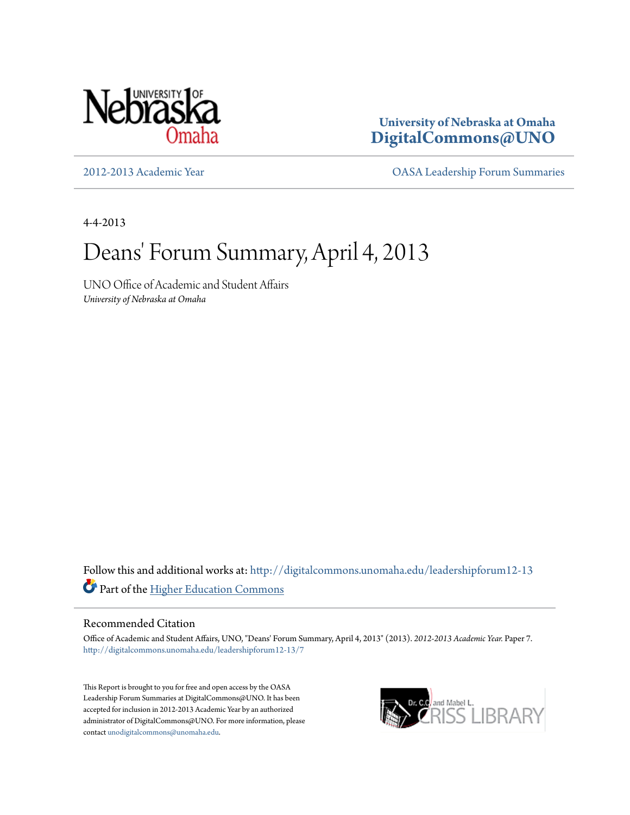

**University of Nebraska at Omaha [DigitalCommons@UNO](http://digitalcommons.unomaha.edu?utm_source=digitalcommons.unomaha.edu%2Fleadershipforum12-13%2F7&utm_medium=PDF&utm_campaign=PDFCoverPages)**

[2012-2013 Academic Year](http://digitalcommons.unomaha.edu/leadershipforum12-13?utm_source=digitalcommons.unomaha.edu%2Fleadershipforum12-13%2F7&utm_medium=PDF&utm_campaign=PDFCoverPages) [OASA Leadership Forum Summaries](http://digitalcommons.unomaha.edu/oasaleadershipforum?utm_source=digitalcommons.unomaha.edu%2Fleadershipforum12-13%2F7&utm_medium=PDF&utm_campaign=PDFCoverPages)

4-4-2013

## Deans' Forum Summary, April 4, 2013

UNO Office of Academic and Student Affairs *University of Nebraska at Omaha*

Follow this and additional works at: [http://digitalcommons.unomaha.edu/leadershipforum12-13](http://digitalcommons.unomaha.edu/leadershipforum12-13?utm_source=digitalcommons.unomaha.edu%2Fleadershipforum12-13%2F7&utm_medium=PDF&utm_campaign=PDFCoverPages) Part of the [Higher Education Commons](http://network.bepress.com/hgg/discipline/1245?utm_source=digitalcommons.unomaha.edu%2Fleadershipforum12-13%2F7&utm_medium=PDF&utm_campaign=PDFCoverPages)

## Recommended Citation

Office of Academic and Student Affairs, UNO, "Deans' Forum Summary, April 4, 2013" (2013). *2012-2013 Academic Year.* Paper 7. [http://digitalcommons.unomaha.edu/leadershipforum12-13/7](http://digitalcommons.unomaha.edu/leadershipforum12-13/7?utm_source=digitalcommons.unomaha.edu%2Fleadershipforum12-13%2F7&utm_medium=PDF&utm_campaign=PDFCoverPages)

This Report is brought to you for free and open access by the OASA Leadership Forum Summaries at DigitalCommons@UNO. It has been accepted for inclusion in 2012-2013 Academic Year by an authorized administrator of DigitalCommons@UNO. For more information, please contact [unodigitalcommons@unomaha.edu.](mailto:unodigitalcommons@unomaha.edu)